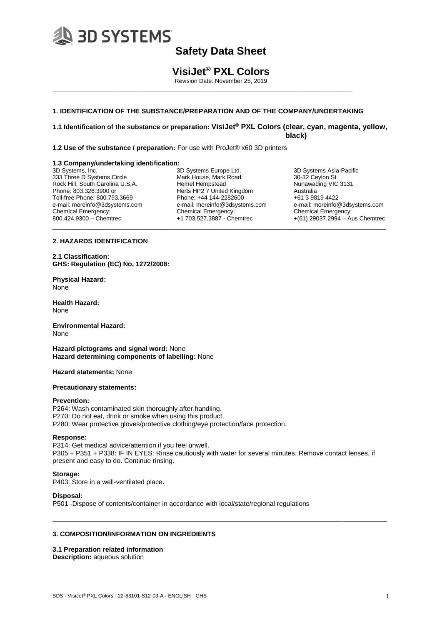

# **VisiJet® PXL Colors**

Revision Date: November 25, 2019

## **1. IDENTIFICATION OF THE SUBSTANCE/PREPARATION AND OF THE COMPANY/UNDERTAKING**

\_\_\_\_\_\_\_\_\_\_\_\_\_\_\_\_\_\_\_\_\_\_\_\_\_\_\_\_\_\_\_\_\_\_\_\_\_\_\_\_\_\_\_\_\_\_\_\_\_\_\_\_\_\_\_\_\_\_\_\_\_\_\_\_\_\_\_\_\_\_\_\_\_\_\_\_\_\_\_\_\_\_\_\_\_

**1.1 Identification of the substance or preparation: VisiJet® PXL Colors (clear, cyan, magenta, yellow, black)**

**1.2 Use of the substance / preparation:** For use with ProJet® x60 3D printers

#### **1.3 Company/undertaking identification:**

3D Systems, Inc. 333 Three D Systems Circle Rock Hill, South Carolina U.S.A. Phone: 803.326.3900 or Toll-free Phone: 800.793.3669 e-mail: moreinfo@3dsystems.com Chemical Emergency: 800.424.9300 – Chemtrec \_\_\_\_\_\_\_\_\_\_\_\_\_\_\_\_\_\_\_\_\_\_\_\_\_\_\_\_\_\_\_\_\_\_\_\_\_\_\_\_\_\_\_\_\_\_\_\_\_\_\_\_\_\_\_\_\_\_\_\_\_\_\_\_\_\_\_\_\_\_\_\_\_\_\_\_\_\_\_\_\_\_\_\_\_

3D Systems Europe Ltd. Mark House, Mark Road Hemel Hempstead Herts HP2 7 United Kingdom Phone: +44 144-2282600 e-mail: moreinfo@3dsystems.com Chemical Emergency: +1 703.527.3887 - Chemtrec

3D Systems Asia-Pacific 30-32 Ceylon St Nunawading VIC 3131 Australia +61 3 9819 4422 e-mail: moreinfo@3dsystems.com Chemical Emergency: +(61) 29037.2994 – Aus Chemtrec

## **2. HAZARDS IDENTIFICATION**

**2.1 Classification: GHS: Regulation (EC) No, 1272/2008:** 

**Physical Hazard:**  None

**Health Hazard:** None

**Environmental Hazard:** None

**Hazard pictograms and signal word:** None **Hazard determining components of labelling:** None

**Hazard statements:** None

#### **Precautionary statements:**

#### **Prevention:**

P264: Wash contaminated skin thoroughly after handling. P270: Do not eat, drink or smoke when using this product. P280: Wear protective gloves/protective clothing/eye protection/face protection.

### **Response:**

P314: Get medical advice/attention if you feel unwell. P305 + P351 + P338: IF IN EYES: Rinse cautiously with water for several minutes. Remove contact lenses, if present and easy to do. Continue rinsing.

**\_\_\_\_\_\_\_\_\_\_\_\_\_\_\_\_\_\_\_\_\_\_\_\_\_\_\_\_\_\_\_\_\_\_\_\_\_\_\_\_\_\_\_\_\_\_\_\_\_\_\_\_\_\_\_\_\_\_\_\_\_\_\_\_\_\_\_\_\_\_\_\_\_\_\_\_\_\_\_\_\_\_\_\_\_\_\_\_\_\_**

### **Storage:**

P403: Store in a well-ventilated place.

### **Disposal:**

P501 -Dispose of contents/container in accordance with local/state/regional regulations

### **3. COMPOSITION/INFORMATION ON INGREDIENTS**

### **3.1 Preparation related information**

**Description:** aqueous solution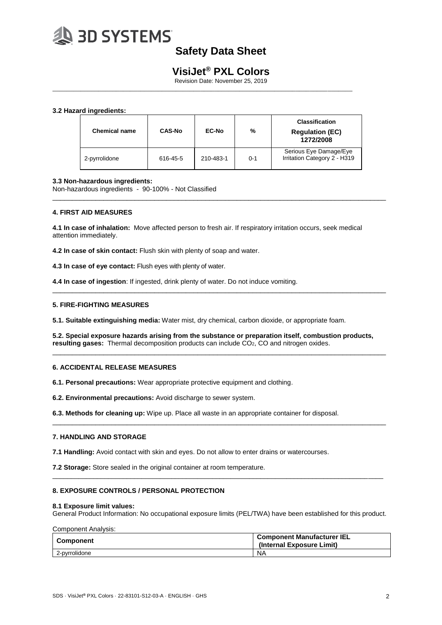

# **VisiJet® PXL Colors**

Revision Date: November 25, 2019

\_\_\_\_\_\_\_\_\_\_\_\_\_\_\_\_\_\_\_\_\_\_\_\_\_\_\_\_\_\_\_\_\_\_\_\_\_\_\_\_\_\_\_\_\_\_\_\_\_\_\_\_\_\_\_\_\_\_\_\_\_\_\_\_\_\_\_\_\_\_\_\_\_\_\_\_\_\_\_\_\_\_\_\_\_

## **3.2 Hazard ingredients:**

| <b>Chemical name</b> | <b>CAS-No</b> | EC-No     | %       | <b>Classification</b><br><b>Regulation (EC)</b><br>1272/2008 |
|----------------------|---------------|-----------|---------|--------------------------------------------------------------|
| 2-pyrrolidone        | 616-45-5      | 210-483-1 | $0 - 1$ | Serious Eye Damage/Eye<br>Irritation Category 2 - H319       |

\_\_\_\_\_\_\_\_\_\_\_\_\_\_\_\_\_\_\_\_\_\_\_\_\_\_\_\_\_\_\_\_\_\_\_\_\_\_\_\_\_\_\_\_\_\_\_\_\_\_\_\_\_\_\_\_\_\_\_\_\_\_\_\_\_\_\_\_\_\_\_\_\_\_\_\_\_\_\_\_\_\_\_\_\_

#### **3.3 Non-hazardous ingredients:**

Non-hazardous ingredients - 90-100% - Not Classified

### **4. FIRST AID MEASURES**

**4.1 In case of inhalation:** Move affected person to fresh air. If respiratory irritation occurs, seek medical attention immediately.

**4.2 In case of skin contact:** Flush skin with plenty of soap and water.

**4.3 In case of eye contact:** Flush eyes with plenty of water.

**4.4 In case of ingestion**: If ingested, drink plenty of water. Do not induce vomiting.

#### **5. FIRE-FIGHTING MEASURES**

**5.1. Suitable extinguishing media:** Water mist, dry chemical, carbon dioxide, or appropriate foam.

**5.2. Special exposure hazards arising from the substance or preparation itself, combustion products, resulting gases:** Thermal decomposition products can include CO2, CO and nitrogen oxides.

\_\_\_\_\_\_\_\_\_\_\_\_\_\_\_\_\_\_\_\_\_\_\_\_\_\_\_\_\_\_\_\_\_\_\_\_\_\_\_\_\_\_\_\_\_\_\_\_\_\_\_\_\_\_\_\_\_\_\_\_\_\_\_\_\_\_\_\_\_\_\_\_\_\_\_\_\_\_\_\_\_\_\_\_\_

\_\_\_\_\_\_\_\_\_\_\_\_\_\_\_\_\_\_\_\_\_\_\_\_\_\_\_\_\_\_\_\_\_\_\_\_\_\_\_\_\_\_\_\_\_\_\_\_\_\_\_\_\_\_\_\_\_\_\_\_\_\_\_\_\_\_\_\_\_\_\_\_\_\_\_\_\_\_\_\_\_\_\_\_\_

\_\_\_\_\_\_\_\_\_\_\_\_\_\_\_\_\_\_\_\_\_\_\_\_\_\_\_\_\_\_\_\_\_\_\_\_\_\_\_\_\_\_\_\_\_\_\_\_\_\_\_\_\_\_\_\_\_\_\_\_\_\_\_\_\_\_\_\_\_\_\_\_\_\_\_\_\_\_\_\_\_\_\_\_\_

### **6. ACCIDENTAL RELEASE MEASURES**

**6.1. Personal precautions:** Wear appropriate protective equipment and clothing.

**6.2. Environmental precautions:** Avoid discharge to sewer system.

**6.3. Methods for cleaning up:** Wipe up. Place all waste in an appropriate container for disposal.

### **7. HANDLING AND STORAGE**

**7.1 Handling:** Avoid contact with skin and eyes. Do not allow to enter drains or watercourses.

**7.2 Storage:** Store sealed in the original container at room temperature.

### **8. EXPOSURE CONTROLS / PERSONAL PROTECTION**

#### **8.1 Exposure limit values:**

General Product Information: No occupational exposure limits (PEL/TWA) have been established for this product.

\_\_\_\_\_\_\_\_\_\_\_\_\_\_\_\_\_\_\_\_\_\_\_\_\_\_\_\_\_\_\_\_\_\_\_\_\_\_\_\_\_\_\_\_\_\_\_\_\_\_\_\_\_\_\_\_\_\_\_\_\_\_\_\_\_\_\_\_\_\_\_\_\_\_\_\_\_\_\_\_\_\_\_\_\_\_\_\_\_

#### Component Analysis:

| Component     | <b>Component Manufacturer IEL</b><br>(Internal Exposure Limit) |
|---------------|----------------------------------------------------------------|
| 2-pyrrolidone | N <sub>A</sub>                                                 |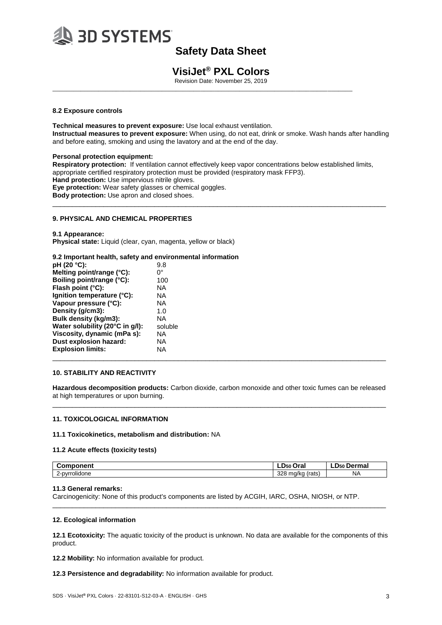

# **VisiJet® PXL Colors**

Revision Date: November 25, 2019

\_\_\_\_\_\_\_\_\_\_\_\_\_\_\_\_\_\_\_\_\_\_\_\_\_\_\_\_\_\_\_\_\_\_\_\_\_\_\_\_\_\_\_\_\_\_\_\_\_\_\_\_\_\_\_\_\_\_\_\_\_\_\_\_\_\_\_\_\_\_\_\_\_\_\_\_\_\_\_\_\_\_\_\_\_

### **8.2 Exposure controls**

**Technical measures to prevent exposure:** Use local exhaust ventilation. **Instructual measures to prevent exposure:** When using, do not eat, drink or smoke. Wash hands after handling and before eating, smoking and using the lavatory and at the end of the day.

**Personal protection equipment: Respiratory protection:** If ventilation cannot effectively keep vapor concentrations below established limits, appropriate certified respiratory protection must be provided (respiratory mask FFP3). **Hand protection:** Use impervious nitrile gloves. **Eye protection:** Wear safety glasses or chemical goggles. **Body protection:** Use apron and closed shoes.  $\_$  ,  $\_$  ,  $\_$  ,  $\_$  ,  $\_$  ,  $\_$  ,  $\_$  ,  $\_$  ,  $\_$  ,  $\_$  ,  $\_$  ,  $\_$  ,  $\_$  ,  $\_$  ,  $\_$  ,  $\_$  ,  $\_$  ,  $\_$  ,  $\_$  ,  $\_$  ,  $\_$  ,  $\_$  ,  $\_$  ,  $\_$  ,  $\_$  ,  $\_$  ,  $\_$  ,  $\_$  ,  $\_$  ,  $\_$  ,  $\_$  ,  $\_$  ,  $\_$  ,  $\_$  ,  $\_$  ,  $\_$  ,  $\_$  ,

### **9. PHYSICAL AND CHEMICAL PROPERTIES**

**9.1 Appearance: Physical state:** Liquid (clear, cyan, magenta, yellow or black)

# **9.2 Important health, safety and environmental information**

| pH (20 °C):                     | 9.8         |
|---------------------------------|-------------|
| Melting point/range (°C):       | $0^{\circ}$ |
| Boiling point/range (°C):       | 100         |
| Flash point $(^{\circ}C)$ :     | NA.         |
| Ignition temperature (°C):      | <b>NA</b>   |
| Vapour pressure (°C):           | NA          |
| Density (g/cm3):                | 1.0         |
| Bulk density (kg/m3):           | NA          |
| Water solubility (20°C in g/l): | soluble     |
| Viscosity, dynamic (mPa s):     | NА          |
| Dust explosion hazard:          | NА          |
| <b>Explosion limits:</b>        | NA          |
|                                 |             |

### **10. STABILITY AND REACTIVITY**

**Hazardous decomposition products:** Carbon dioxide, carbon monoxide and other toxic fumes can be released at high temperatures or upon burning.  $\_$  ,  $\_$  ,  $\_$  ,  $\_$  ,  $\_$  ,  $\_$  ,  $\_$  ,  $\_$  ,  $\_$  ,  $\_$  ,  $\_$  ,  $\_$  ,  $\_$  ,  $\_$  ,  $\_$  ,  $\_$  ,  $\_$  ,  $\_$  ,  $\_$  ,  $\_$  ,  $\_$  ,  $\_$  ,  $\_$  ,  $\_$  ,  $\_$  ,  $\_$  ,  $\_$  ,  $\_$  ,  $\_$  ,  $\_$  ,  $\_$  ,  $\_$  ,  $\_$  ,  $\_$  ,  $\_$  ,  $\_$  ,  $\_$  ,

## **11. TOXICOLOGICAL INFORMATION**

### **11.1 Toxicokinetics, metabolism and distribution:** NA

### **11.2 Acute effects (toxicity tests)**

| <b>Component</b>     | Oral<br>LD50              | LD50<br>Dermal |
|----------------------|---------------------------|----------------|
| . .<br>2-pyrrolidone | 328 ma/ka<br>(rats<br>. . | <b>NA</b>      |

\_\_\_\_\_\_\_\_\_\_\_\_\_\_\_\_\_\_\_\_\_\_\_\_\_\_\_\_\_\_\_\_\_\_\_\_\_\_\_\_\_\_\_\_\_\_\_\_\_\_\_\_\_\_\_\_\_\_\_\_\_\_\_\_\_\_\_\_\_\_\_\_\_\_\_\_\_\_\_\_\_\_\_\_\_

### **11.3 General remarks:**

Carcinogenicity: None of this product's components are listed by ACGIH, IARC, OSHA, NIOSH, or NTP.

### **12. Ecological information**

**12.1 Ecotoxicity:** The aquatic toxicity of the product is unknown. No data are available for the components of this product.

**12.2 Mobility:** No information available for product.

**12.3 Persistence and degradability:** No information available for product.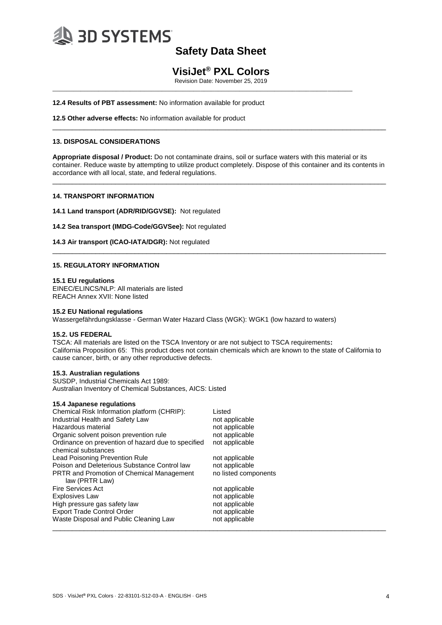

# **VisiJet® PXL Colors**

Revision Date: November 25, 2019

\_\_\_\_\_\_\_\_\_\_\_\_\_\_\_\_\_\_\_\_\_\_\_\_\_\_\_\_\_\_\_\_\_\_\_\_\_\_\_\_\_\_\_\_\_\_\_\_\_\_\_\_\_\_\_\_\_\_\_\_\_\_\_\_\_\_\_\_\_\_\_\_\_\_\_\_\_\_\_\_\_\_\_\_\_

**12.4 Results of PBT assessment:** No information available for product

**12.5 Other adverse effects:** No information available for product

### **13. DISPOSAL CONSIDERATIONS**

**Appropriate disposal / Product:** Do not contaminate drains, soil or surface waters with this material or its container. Reduce waste by attempting to utilize product completely. Dispose of this container and its contents in accordance with all local, state, and federal regulations.

\_\_\_\_\_\_\_\_\_\_\_\_\_\_\_\_\_\_\_\_\_\_\_\_\_\_\_\_\_\_\_\_\_\_\_\_\_\_\_\_\_\_\_\_\_\_\_\_\_\_\_\_\_\_\_\_\_\_\_\_\_\_\_\_\_\_\_\_\_\_\_\_\_\_\_\_\_\_\_\_\_\_\_\_\_

\_\_\_\_\_\_\_\_\_\_\_\_\_\_\_\_\_\_\_\_\_\_\_\_\_\_\_\_\_\_\_\_\_\_\_\_\_\_\_\_\_\_\_\_\_\_\_\_\_\_\_\_\_\_\_\_\_\_\_\_\_\_\_\_\_\_\_\_\_\_\_\_\_\_\_\_\_\_\_\_\_\_\_\_\_

\_\_\_\_\_\_\_\_\_\_\_\_\_\_\_\_\_\_\_\_\_\_\_\_\_\_\_\_\_\_\_\_\_\_\_\_\_\_\_\_\_\_\_\_\_\_\_\_\_\_\_\_\_\_\_\_\_\_\_\_\_\_\_\_\_\_\_\_\_\_\_\_\_\_\_\_\_\_\_\_\_\_\_\_\_

#### **14. TRANSPORT INFORMATION**

**14.1 Land transport (ADR/RID/GGVSE):** Not regulated

**14.2 Sea transport (IMDG-Code/GGVSee):** Not regulated

**14.3 Air transport (ICAO-IATA/DGR):** Not regulated

#### **15. REGULATORY INFORMATION**

#### **15.1 EU regulations**

EINEC/ELINCS/NLP: All materials are listed REACH Annex XVII: None listed

#### **15.2 EU National regulations**

Wassergefährdungsklasse - German Water Hazard Class (WGK): WGK1 (low hazard to waters)

#### **15.2. US FEDERAL**

TSCA: All materials are listed on the TSCA Inventory or are not subject to TSCA requirements**:**  California Proposition 65: This product does not contain chemicals which are known to the state of California to cause cancer, birth, or any other reproductive defects.

#### **15.3. Australian regulations**

SUSDP, Industrial Chemicals Act 1989: Australian Inventory of Chemical Substances, AICS: Listed

| Chemical Risk Information platform (CHRIP):                               | Listed               |
|---------------------------------------------------------------------------|----------------------|
| Industrial Health and Safety Law                                          | not applicable       |
| Hazardous material                                                        | not applicable       |
| Organic solvent poison prevention rule                                    | not applicable       |
| Ordinance on prevention of hazard due to specified<br>chemical substances | not applicable       |
| Lead Poisoning Prevention Rule                                            | not applicable       |
| Poison and Deleterious Substance Control law                              | not applicable       |
| <b>PRTR and Promotion of Chemical Management</b><br>law (PRTR Law)        | no listed components |
| <b>Fire Services Act</b>                                                  | not applicable       |
| <b>Explosives Law</b>                                                     | not applicable       |
| High pressure gas safety law                                              | not applicable       |
| <b>Export Trade Control Order</b>                                         | not applicable       |
| Waste Disposal and Public Cleaning Law                                    | not applicable       |